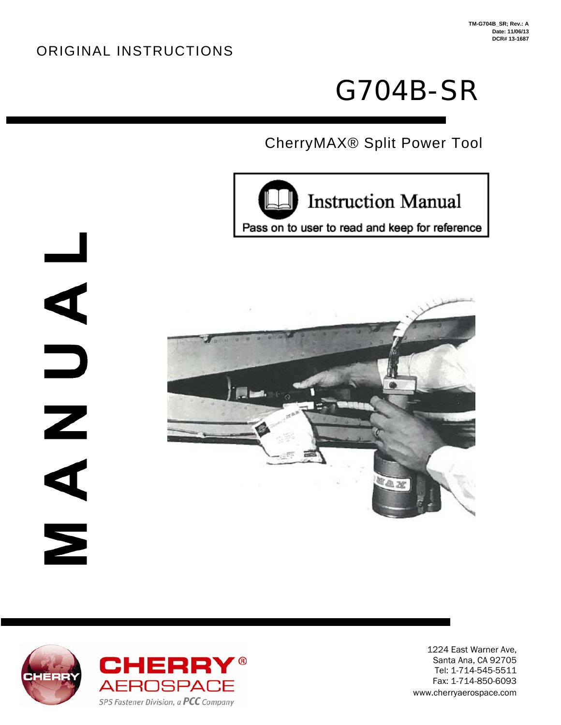## ORIGINAL INSTRUCTIONS

NAVA N

# G704B-SR

## CherryMAX® Split Power Tool







1224 East Warner Ave, Santa Ana, CA 92705 Tel: 1-714-545-5511 Fax: 1-714-850-6093 www.cherryaerospace.com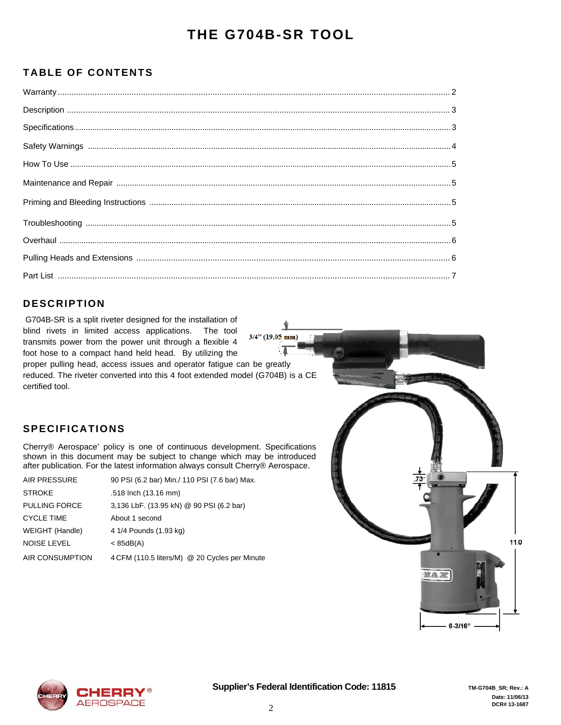### **THE G704B-SR TOOL**

### **TABLE OF CONTENTS**

#### **DESCRIPTION**

 G704B-SR is a split riveter designed for the installation of N blind rivets in limited access applications. The tool  $3/4$ " (19.05 mm) transmits power from the power unit through a flexible 4 V foot hose to a compact hand held head. By utilizing the proper pulling head, access issues and operator fatigue can be greatly reduced. The riveter converted into this 4 foot extended model (G704B) is a CE certified tool.



#### **SPECIFICATIONS**

Cherry® Aerospace' policy is one of continuous development. Specifications shown in this document may be subject to change which may be introduced after publication. For the latest information always consult Cherry® Aerospace.

| <b>AIR PRESSURE</b>    | 90 PSI (6.2 bar) Min./ 110 PSI (7.6 bar) Max. |  |  |  |
|------------------------|-----------------------------------------------|--|--|--|
| <b>STROKE</b>          | .518 Inch (13.16 mm)                          |  |  |  |
| <b>PULLING FORCE</b>   | 3,136 LbF. (13.95 kN) @ 90 PSI (6.2 bar)      |  |  |  |
| <b>CYCLE TIME</b>      | About 1 second                                |  |  |  |
| WEIGHT (Handle)        | 4 1/4 Pounds (1.93 kg)                        |  |  |  |
| <b>NOISE LEVEL</b>     | $<$ 85dB(A)                                   |  |  |  |
| <b>AIR CONSUMPTION</b> | 4 CFM (110.5 liters/M) @ 20 Cycles per Minute |  |  |  |

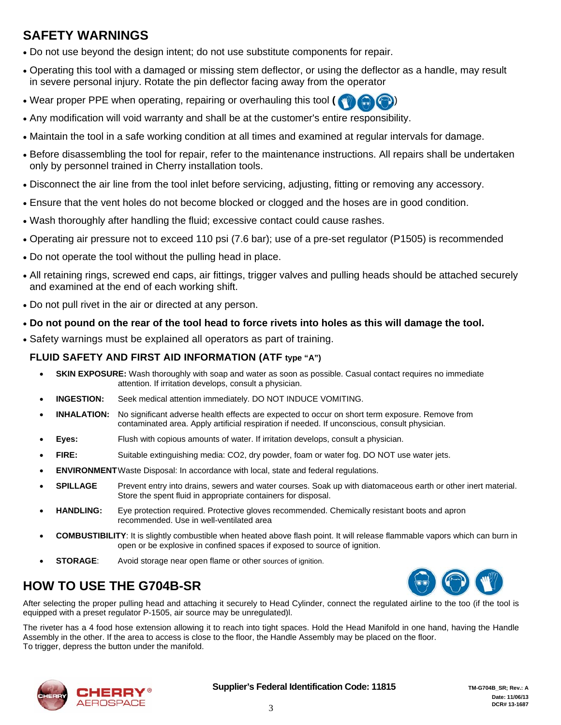### **SAFETY WARNINGS**

- Do not use beyond the design intent; do not use substitute components for repair.
- Operating this tool with a damaged or missing stem deflector, or using the deflector as a handle, may result in severe personal injury. Rotate the pin deflector facing away from the operator
- Wear proper PPE when operating, repairing or overhauling this tool **(** .)
- Any modification will void warranty and shall be at the customer's entire responsibility.
- Maintain the tool in a safe working condition at all times and examined at regular intervals for damage.
- Before disassembling the tool for repair, refer to the maintenance instructions. All repairs shall be undertaken only by personnel trained in Cherry installation tools.
- Disconnect the air line from the tool inlet before servicing, adjusting, fitting or removing any accessory.
- Ensure that the vent holes do not become blocked or clogged and the hoses are in good condition.
- Wash thoroughly after handling the fluid; excessive contact could cause rashes.
- Operating air pressure not to exceed 110 psi (7.6 bar); use of a pre-set regulator (P1505) is recommended
- Do not operate the tool without the pulling head in place.
- All retaining rings, screwed end caps, air fittings, trigger valves and pulling heads should be attached securely and examined at the end of each working shift.
- Do not pull rivet in the air or directed at any person.
- **Do not pound on the rear of the tool head to force rivets into holes as this will damage the tool.**
- Safety warnings must be explained all operators as part of training.

#### **FLUID SAFETY AND FIRST AID INFORMATION (ATF type "A")**

- **SKIN EXPOSURE:** Wash thoroughly with soap and water as soon as possible. Casual contact requires no immediate attention. If irritation develops, consult a physician.
- **INGESTION:** Seek medical attention immediately. DO NOT INDUCE VOMITING.
- **INHALATION:** No significant adverse health effects are expected to occur on short term exposure. Remove from contaminated area. Apply artificial respiration if needed. If unconscious, consult physician.
- **Eyes:** Flush with copious amounts of water. If irritation develops, consult a physician.
- FIRE: Suitable extinguishing media: CO2, dry powder, foam or water fog. DO NOT use water jets.
- **ENVIRONMENT** Waste Disposal: In accordance with local, state and federal regulations.
- **SPILLAGE** Prevent entry into drains, sewers and water courses. Soak up with diatomaceous earth or other inert material. Store the spent fluid in appropriate containers for disposal.
- **HANDLING:** Eye protection required. Protective gloves recommended. Chemically resistant boots and apron recommended. Use in well-ventilated area
- **COMBUSTIBILITY**: It is slightly combustible when heated above flash point. It will release flammable vapors which can burn in open or be explosive in confined spaces if exposed to source of ignition.
- **STORAGE:** Avoid storage near open flame or other sources of ignition.

### **HOW TO USE THE G704B-SR**

After selecting the proper pulling head and attaching it securely to Head Cylinder, connect the regulated airline to the too (if the tool is equipped with a preset regulator P-1505, air source may be unregulated)l.

The riveter has a 4 food hose extension allowing it to reach into tight spaces. Hold the Head Manifold in one hand, having the Handle Assembly in the other. If the area to access is close to the floor, the Handle Assembly may be placed on the floor. To trigger, depress the button under the manifold.

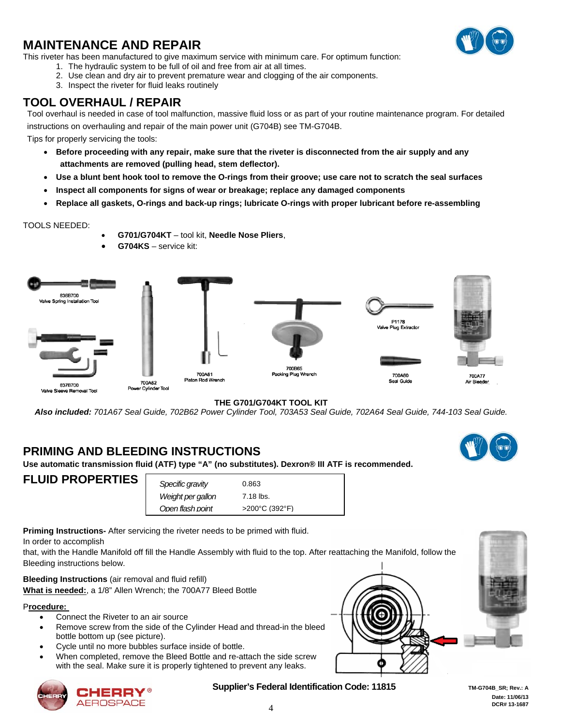### **MAINTENANCE AND REPAIR**

This riveter has been manufactured to give maximum service with minimum care. For optimum function:

- 1. The hydraulic system to be full of oil and free from air at all times.
- 2. Use clean and dry air to prevent premature wear and clogging of the air components.
- 3. Inspect the riveter for fluid leaks routinely

### **TOOL OVERHAUL / REPAIR**

Tool overhaul is needed in case of tool malfunction, massive fluid loss or as part of your routine maintenance program. For detailed instructions on overhauling and repair of the main power unit (G704B) see TM-G704B.

Tips for properly servicing the tools:

- **Before proceeding with any repair, make sure that the riveter is disconnected from the air supply and any attachments are removed (pulling head, stem deflector).**
- **Use a blunt bent hook tool to remove the O-rings from their groove; use care not to scratch the seal surfaces**
- **Inspect all components for signs of wear or breakage; replace any damaged components**
- **Replace all gaskets, O-rings and back-up rings; lubricate O-rings with proper lubricant before re-assembling**

#### TOOLS NEEDED:

- **G701/G704KT**  tool kit, **Needle Nose Pliers**,
- **G704KS** service kit:



#### **THE G701/G704KT TOOL KIT**

*Also included: 701A67 Seal Guide, 702B62 Power Cylinder Tool, 703A53 Seal Guide, 702A64 Seal Guide, 744-103 Seal Guide.* 

### **PRIMING AND BLEEDING INSTRUCTIONS**

**Use automatic transmission fluid (ATF) type "A" (no substitutes). Dexron® III ATF is recommended.** 

#### **FLUID PROPERTIES**

| Specific gravity  | 0.863                    |
|-------------------|--------------------------|
| Weight per gallon | 7.18 lbs.                |
| Open flash point  | $>200^{\circ}$ C (392°F) |

**Priming Instructions-** After servicing the riveter needs to be primed with fluid.

In order to accomplish

that, with the Handle Manifold off fill the Handle Assembly with fluid to the top. After reattaching the Manifold, follow the Bleeding instructions below.

**Bleeding Instructions** (air removal and fluid refill) **What is needed:**, a 1/8" Allen Wrench; the 700A77 Bleed Bottle

#### P**rocedure:**

- Connect the Riveter to an air source
- Remove screw from the side of the Cylinder Head and thread-in the bleed bottle bottom up (see picture).
- Cycle until no more bubbles surface inside of bottle.
- When completed, remove the Bleed Bottle and re-attach the side screw with the seal. Make sure it is properly tightened to prevent any leaks.







**Supplier's Federal Identification Code: 11815** TM-G704B SR; Rev.: A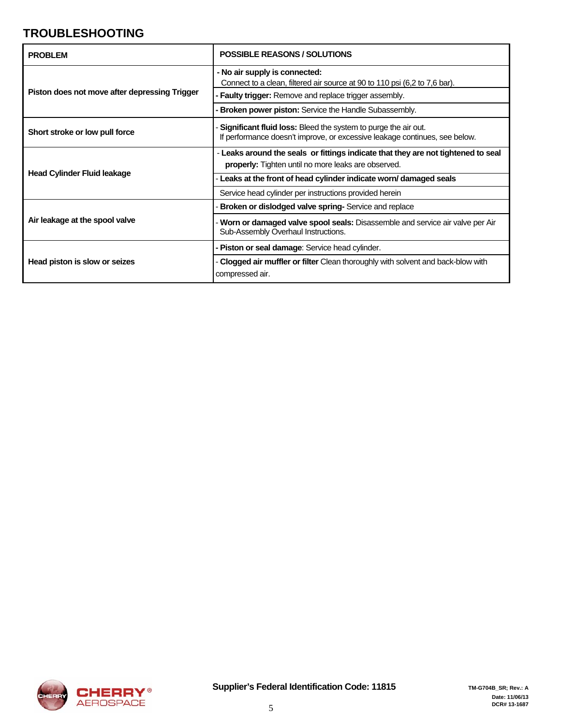### **TROUBLESHOOTING**

| <b>PROBLEM</b>                                | <b>POSSIBLE REASONS / SOLUTIONS</b>                                                                                                                                   |  |  |
|-----------------------------------------------|-----------------------------------------------------------------------------------------------------------------------------------------------------------------------|--|--|
| Piston does not move after depressing Trigger | - No air supply is connected:<br>Connect to a clean, filtered air source at 90 to 110 psi (6,2 to 7,6 bar).<br>- Faulty trigger: Remove and replace trigger assembly. |  |  |
|                                               | - Broken power piston: Service the Handle Subassembly.                                                                                                                |  |  |
| Short stroke or low pull force                | Significant fluid loss: Bleed the system to purge the air out.<br>If performance doesn't improve, or excessive leakage continues, see below.                          |  |  |
|                                               | - Leaks around the seals or fittings indicate that they are not tightened to seal<br><b>properly:</b> Tighten until no more leaks are observed.                       |  |  |
| <b>Head Cylinder Fluid leakage</b>            | - Leaks at the front of head cylinder indicate worn/ damaged seals                                                                                                    |  |  |
|                                               | Service head cylinder per instructions provided herein                                                                                                                |  |  |
|                                               | <b>Broken or dislodged valve spring-</b> Service and replace                                                                                                          |  |  |
| Air leakage at the spool valve                | - Worn or damaged valve spool seals: Disassemble and service air valve per Air<br>Sub-Assembly Overhaul Instructions.                                                 |  |  |
|                                               | - Piston or seal damage: Service head cylinder.                                                                                                                       |  |  |
| Head piston is slow or seizes                 | - Clogged air muffler or filter Clean thoroughly with solvent and back-blow with<br>compressed air.                                                                   |  |  |

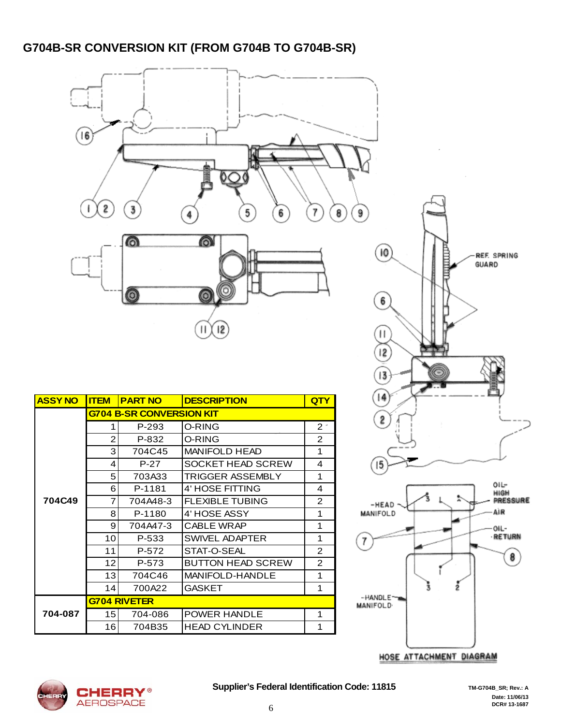### **G704B-SR CONVERSION KIT (FROM G704B TO G704B-SR)**



| <b>ASSY NO</b> | <b>ITEM</b>                     | <b>PART NO</b> | <b>DESCRIPTION</b>       | QTY            |  |
|----------------|---------------------------------|----------------|--------------------------|----------------|--|
|                | <b>G704 B-SR CONVERSION KIT</b> |                |                          |                |  |
|                | 1                               | $P-293$        | O-RING                   |                |  |
|                | $\overline{2}$                  | P-832          | O-RING                   | $\overline{2}$ |  |
|                | 3                               | 704C45         | MANIFOLD HEAD            | 1              |  |
|                | 4                               | $P-27$         | SOCKET HEAD SCREW        | 4              |  |
|                | 5                               | 703A33         | <b>TRIGGER ASSEMBLY</b>  | 1              |  |
|                | 6                               | P-1181         | 4' HOSE FITTING          | 4              |  |
| 704C49         | 7                               | 704A48-3       | <b>FLEXIBLE TUBING</b>   | 2              |  |
|                | 8                               | P-1180         | 4' HOSE ASSY             | 1              |  |
|                | 9                               | 704A47-3       | <b>CABLE WRAP</b>        | 1              |  |
|                | 10                              | P-533          | <b>SWIVEL ADAPTER</b>    | 1              |  |
|                | 11                              | P-572          | STAT-O-SEAL              | $\overline{2}$ |  |
|                | 12                              | P-573          | <b>BUTTON HEAD SCREW</b> | 2              |  |
|                | 13                              | 704C46         | <b>MANIFOLD-HANDLE</b>   | 1              |  |
|                | 14                              | 700A22         | <b>GASKET</b>            | 1              |  |
|                | <b>G704 RIVETER</b>             |                |                          |                |  |
| 704-087        | 15 <sub>l</sub>                 | 704-086        | <b>POWER HANDLE</b>      | 1              |  |
|                | 16                              | 704B35         | <b>HEAD CYLINDER</b>     | 1              |  |



HOSE ATTACHMENT DIAGRAM

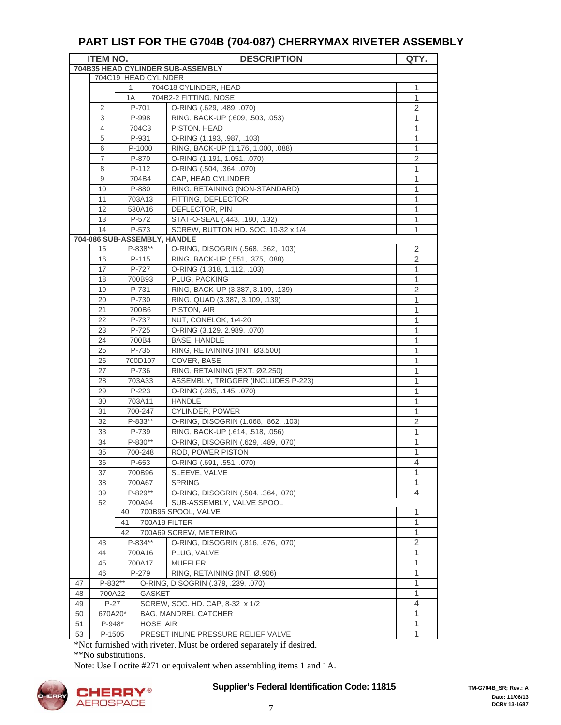#### **PART LIST FOR THE G704B (704-087) CHERRYMAX RIVETER ASSEMBLY**

| <b>ITEM NO.</b>                   |                         |         | <b>DESCRIPTION</b> | QTY.                                 |                |
|-----------------------------------|-------------------------|---------|--------------------|--------------------------------------|----------------|
| 704B35 HEAD CYLINDER SUB-ASSEMBLY |                         |         |                    |                                      |                |
| 704C19 HEAD CYLINDER              |                         |         |                    |                                      |                |
|                                   | 1                       |         |                    | 704C18 CYLINDER, HEAD                | 1              |
|                                   |                         | 1A      |                    | 704B2-2 FITTING, NOSE                | 1              |
|                                   | 2                       |         | P-701              | O-RING (.629, .489, .070)            | $\overline{2}$ |
|                                   | 3                       |         | P-998              | RING, BACK-UP (.609, .503, .053)     | 1              |
|                                   | 4                       |         | 704C3              | PISTON, HEAD                         | 1              |
|                                   | 5                       |         | P-931              | O-RING (1.193, .987, .103)           | 1              |
|                                   | 6                       |         | P-1000             | RING, BACK-UP (1.176, 1.000, .088)   | 1              |
|                                   | $\overline{7}$          |         | P-870              | O-RING (1.191, 1.051, .070)          | $\overline{2}$ |
|                                   | 8                       |         | $P-112$            | O-RING (.504, .364, .070)            | 1              |
|                                   | 9                       |         | 704B4              | CAP, HEAD CYLINDER                   | 1              |
|                                   | 10                      |         | P-880              | RING, RETAINING (NON-STANDARD)       | 1              |
|                                   | 11                      |         | 703A13             | FITTING, DEFLECTOR                   | 1              |
|                                   | 12                      |         | 530A16             | DEFLECTOR, PIN                       | 1              |
|                                   | 13                      |         | P-572              | STAT-O-SEAL (.443, .180, .132)       | 1              |
|                                   | 14                      |         | P-573              | SCREW, BUTTON HD. SOC. 10-32 x 1/4   | 1              |
|                                   |                         |         |                    | 704-086 SUB-ASSEMBLY, HANDLE         |                |
|                                   | 15                      |         | P-838**            | O-RING, DISOGRIN (.568, .362, .103)  | $\overline{2}$ |
|                                   | 16                      |         | $P-115$            | RING, BACK-UP (.551, .375, .088)     | $\overline{2}$ |
|                                   | 17                      |         | P-727              | O-RING (1.318, 1.112, .103)          | 1              |
|                                   | 18                      |         | 700B93             | PLUG. PACKING                        | 1              |
|                                   | 19                      |         | P-731              | RING, BACK-UP (3.387, 3.109, .139)   | $\overline{2}$ |
|                                   | 20                      |         | P-730              | RING, QUAD (3.387, 3.109, .139)      | $\mathbf{1}$   |
|                                   | 21                      |         | 700B6              | PISTON, AIR                          | 1              |
|                                   | 22                      |         | P-737              | NUT, CONELOK, 1/4-20                 | 1              |
|                                   | 23                      |         | P-725              | O-RING (3.129, 2.989, .070)          | 1              |
|                                   | 24                      |         | 700B4              | BASE, HANDLE                         | 1              |
|                                   | 25                      |         | P-735              | RING, RETAINING (INT. Ø3.500)        | 1              |
|                                   | 26                      |         | 700D107            | COVER, BASE                          | 1              |
|                                   | 27                      |         | P-736              | RING, RETAINING (EXT. Ø2.250)        | 1              |
|                                   | 28                      |         | 703A33             | ASSEMBLY, TRIGGER (INCLUDES P-223)   | 1              |
|                                   | 29                      |         | P-223              | O-RING (.285, .145, .070)            | 1              |
|                                   | 30                      |         | 703A11             | <b>HANDLE</b>                        | 1              |
|                                   | 31                      |         | 700-247            | <b>CYLINDER, POWER</b>               | 1              |
|                                   | 32                      |         | P-833**            | O-RING, DISOGRIN (1.068, .862, .103) | $\overline{2}$ |
|                                   | 33                      |         | P-739              | RING, BACK-UP (.614, .518, .056)     | 1              |
|                                   | 34                      |         | $P-830**$          | O-RING, DISOGRIN (.629, .489, .070)  | 1              |
|                                   | 35                      |         | 700-248            | ROD, POWER PISTON                    | 1              |
|                                   | 36                      |         | P-653              | O-RING (.691, .551, .070)            | 4              |
|                                   | 37                      |         | 700B96             | SLEEVE, VALVE                        | 1              |
|                                   | 38                      | 700A67  |                    | <b>SPRING</b>                        | 1              |
|                                   | 39                      | P-829** |                    | O-RING, DISOGRIN (.504, .364, .070)  | 4              |
|                                   | 52                      |         | 700A94             | SUB-ASSEMBLY, VALVE SPOOL            |                |
|                                   |                         | 40      |                    | 700B95 SPOOL, VALVE                  | 1              |
|                                   |                         | 41      |                    | 700A18 FILTER                        | 1              |
|                                   |                         | 42      |                    | 700A69 SCREW, METERING               | $\mathbf{1}$   |
|                                   | 43                      |         | P-834**            | O-RING, DISOGRIN (.816, .676, .070)  | $\overline{c}$ |
|                                   | 44                      | 700A16  |                    | PLUG, VALVE                          | 1              |
|                                   | 45<br>700A17            |         |                    | <b>MUFFLER</b>                       | 1              |
|                                   | P-279<br>46             |         |                    | RING, RETAINING (INT. Ø.906)         | 1              |
| 47                                | P-832**                 |         |                    | O-RING, DISOGRIN (.379, .239, .070)  | 1              |
| 48                                | 700A22<br><b>GASKET</b> |         |                    | 1                                    |                |
| 49                                | $P-27$                  |         |                    | SCREW, SOC. HD. CAP, 8-32 x 1/2      | 4              |
| 50                                | 670A20*                 |         |                    | <b>BAG, MANDREL CATCHER</b>          | 1              |
| 51                                | P-948*<br>HOSE, AIR     |         |                    |                                      | 1              |
| 53                                | P-1505                  |         |                    | PRESET INLINE PRESSURE RELIEF VALVE  | 1              |
|                                   |                         |         |                    |                                      |                |

\*Not furnished with riveter. Must be ordered separately if desired.

\*\*No substitutions.

Note: Use Loctite #271 or equivalent when assembling items 1 and 1A.



**Supplier's Federal Identification Code: 11815** TM-G704B\_SR; Rev.: A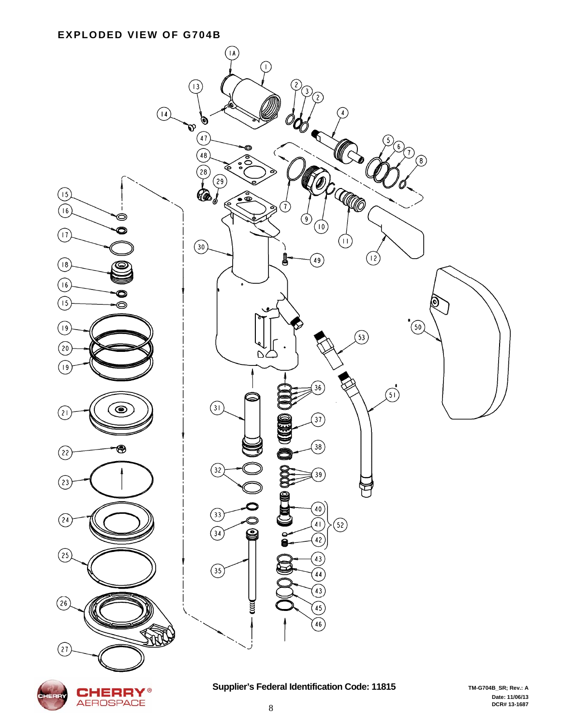#### **EXPLODED VIEW OF G704B**





#### Supplier's Federal Identification Code: 11815 TM-G704B\_SR; Rev.: A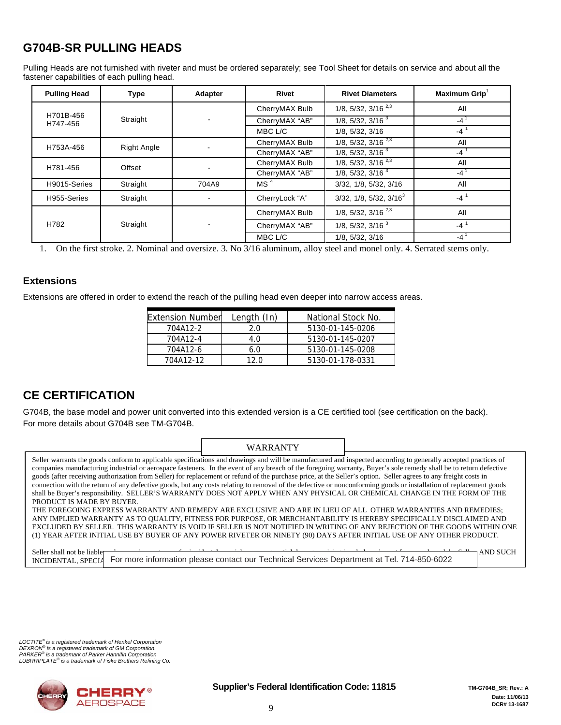### **G704B-SR PULLING HEADS**

Pulling Heads are not furnished with riveter and must be ordered separately; see Tool Sheet for details on service and about all the fastener capabilities of each pulling head.

| <b>Pulling Head</b>   | <b>Type</b>        | Adapter | Rivet           | <b>Rivet Diameters</b>            | Maximum Grip <sup>1</sup>         |              |
|-----------------------|--------------------|---------|-----------------|-----------------------------------|-----------------------------------|--------------|
| H701B-456<br>H747-456 | Straight           |         | CherryMAX Bulb  | $1/8$ , 5/32, 3/16 <sup>2,3</sup> | All                               |              |
|                       |                    |         | CherryMAX "AB"  | $1/8$ , $5/32$ , $3/163$          | $-4^1$                            |              |
|                       |                    |         | MBC L/C         | 1/8, 5/32, 3/16                   | $-4^{\circ}$                      |              |
|                       | <b>Right Angle</b> |         | CherryMAX Bulb  | $1/8$ , 5/32, 3/16 <sup>2,3</sup> | All                               |              |
| H753A-456             |                    |         | CherryMAX "AB"  | $1/8$ , $5/32$ , $3/163$          | $-4$                              |              |
| H781-456              | Offset             |         |                 | CherryMAX Bulb                    | $1/8$ , 5/32, 3/16 <sup>2,3</sup> | All          |
|                       |                    |         |                 | CherryMAX "AB"                    | $1/8$ , $5/32$ , $3/163$          | $-4^{\circ}$ |
| H9015-Series          | Straight           | 704A9   | MS <sup>4</sup> | 3/32, 1/8, 5/32, 3/16             | All                               |              |
| H955-Series           | Straight           |         | CherryLock "A"  | $3/32$ , $1/8$ , $5/32$ , $3/163$ | $-4^1$                            |              |
| H782                  | Straight           |         |                 | CherryMAX Bulb                    | $1/8$ , $5/32$ , $3/16^{2,3}$     | All          |
|                       |                    |         | CherryMAX "AB"  | $1/8$ , $5/32$ , $3/163$          | $-4^1$                            |              |
|                       |                    |         | MBC L/C         | 1/8.5/32.3/16                     | $-4$                              |              |

1. On the first stroke. 2. Nominal and oversize. 3. No 3/16 aluminum, alloy steel and monel only. 4. Serrated stems only.

#### **Extensions**

Extensions are offered in order to extend the reach of the pulling head even deeper into narrow access areas.

| <b>Extension Number</b> | Length (In) | National Stock No. |
|-------------------------|-------------|--------------------|
| 704A12-2                | 2.0         | 5130-01-145-0206   |
| 704A12-4                | 4 N         | 5130-01-145-0207   |
| 704A12-6                | 6.0         | 5130-01-145-0208   |
| 704A12-12               | 12 በ        | 5130-01-178-0331   |

#### **CE CERTIFICATION**

G704B, the base model and power unit converted into this extended version is a CE certified tool (see certification on the back). For more details about G704B see TM-G704B.

|                                                                                                                                                                                                                                                                                                                                       | <b>WARRANTY</b> |                                                                                                                         |  |  |  |  |
|---------------------------------------------------------------------------------------------------------------------------------------------------------------------------------------------------------------------------------------------------------------------------------------------------------------------------------------|-----------------|-------------------------------------------------------------------------------------------------------------------------|--|--|--|--|
| Seller warrants the goods conform to applicable specifications and drawings and will be manufactured and inspected according to generally accepted practices of                                                                                                                                                                       |                 |                                                                                                                         |  |  |  |  |
| companies manufacturing industrial or aerospace fasteners. In the event of any breach of the foregoing warranty, Buyer's sole remedy shall be to return defective<br>goods (after receiving authorization from Seller) for replacement or refund of the purchase price, at the Seller's option. Seller agrees to any freight costs in |                 |                                                                                                                         |  |  |  |  |
| connection with the return of any defective goods, but any costs relating to removal of the defective or nonconforming goods or installation of replacement goods                                                                                                                                                                     |                 |                                                                                                                         |  |  |  |  |
| shall be Buyer's responsibility. SELLER'S WARRANTY DOES NOT APPLY WHEN ANY PHYSICAL OR CHEMICAL CHANGE IN THE FORM OF THE<br>PRODUCT IS MADE BY BUYER.                                                                                                                                                                                |                 |                                                                                                                         |  |  |  |  |
| THE FOREGOING EXPRESS WARRANTY AND REMEDY ARE EXCLUSIVE AND ARE IN LIEU OF ALL OTHER WARRANTIES AND REMEDIES:                                                                                                                                                                                                                         |                 |                                                                                                                         |  |  |  |  |
| ANY IMPLIED WARRANTY AS TO QUALITY, FITNESS FOR PURPOSE, OR MERCHANTABILITY IS HEREBY SPECIFICALLY DISCLAIMED AND                                                                                                                                                                                                                     |                 | EXCLUDED BY SELLER. THIS WARRANTY IS VOID IF SELLER IS NOT NOTIFIED IN WRITING OF ANY REJECTION OF THE GOODS WITHIN ONE |  |  |  |  |
| (1) YEAR AFTER INITIAL USE BY BUYER OF ANY POWER RIVETER OR NINETY (90) DAYS AFTER INITIAL USE OF ANY OTHER PRODUCT.                                                                                                                                                                                                                  |                 |                                                                                                                         |  |  |  |  |
| Seller shall not be liable <b>Γ</b><br>INCIDENTAL, SPECIA For more information please contact our Technical Services Department at Tel. 714-850-6022                                                                                                                                                                                  |                 | <b>AND SUCH</b>                                                                                                         |  |  |  |  |

*LOCTITE® is a registered trademark of Henkel Corporation DEXRON® is a registered trademark of GM Corporation. PARKER® is a trademark of Parker Hannifin Corporation LUBRRIPLATE® is a trademark of Fiske Brothers Refining Co.*